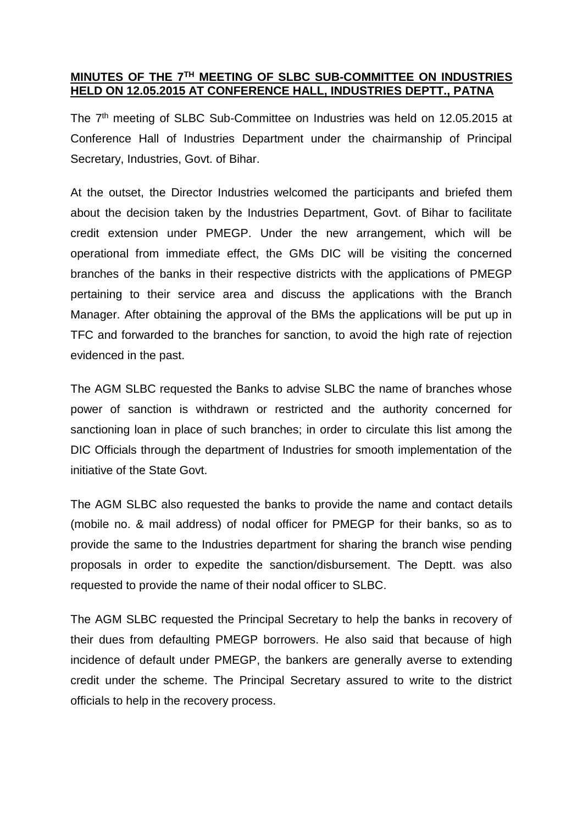## **MINUTES OF THE 7TH MEETING OF SLBC SUB-COMMITTEE ON INDUSTRIES HELD ON 12.05.2015 AT CONFERENCE HALL, INDUSTRIES DEPTT., PATNA**

The 7<sup>th</sup> meeting of SLBC Sub-Committee on Industries was held on 12.05.2015 at Conference Hall of Industries Department under the chairmanship of Principal Secretary, Industries, Govt. of Bihar.

At the outset, the Director Industries welcomed the participants and briefed them about the decision taken by the Industries Department, Govt. of Bihar to facilitate credit extension under PMEGP. Under the new arrangement, which will be operational from immediate effect, the GMs DIC will be visiting the concerned branches of the banks in their respective districts with the applications of PMEGP pertaining to their service area and discuss the applications with the Branch Manager. After obtaining the approval of the BMs the applications will be put up in TFC and forwarded to the branches for sanction, to avoid the high rate of rejection evidenced in the past.

The AGM SLBC requested the Banks to advise SLBC the name of branches whose power of sanction is withdrawn or restricted and the authority concerned for sanctioning loan in place of such branches; in order to circulate this list among the DIC Officials through the department of Industries for smooth implementation of the initiative of the State Govt.

The AGM SLBC also requested the banks to provide the name and contact details (mobile no. & mail address) of nodal officer for PMEGP for their banks, so as to provide the same to the Industries department for sharing the branch wise pending proposals in order to expedite the sanction/disbursement. The Deptt. was also requested to provide the name of their nodal officer to SLBC.

The AGM SLBC requested the Principal Secretary to help the banks in recovery of their dues from defaulting PMEGP borrowers. He also said that because of high incidence of default under PMEGP, the bankers are generally averse to extending credit under the scheme. The Principal Secretary assured to write to the district officials to help in the recovery process.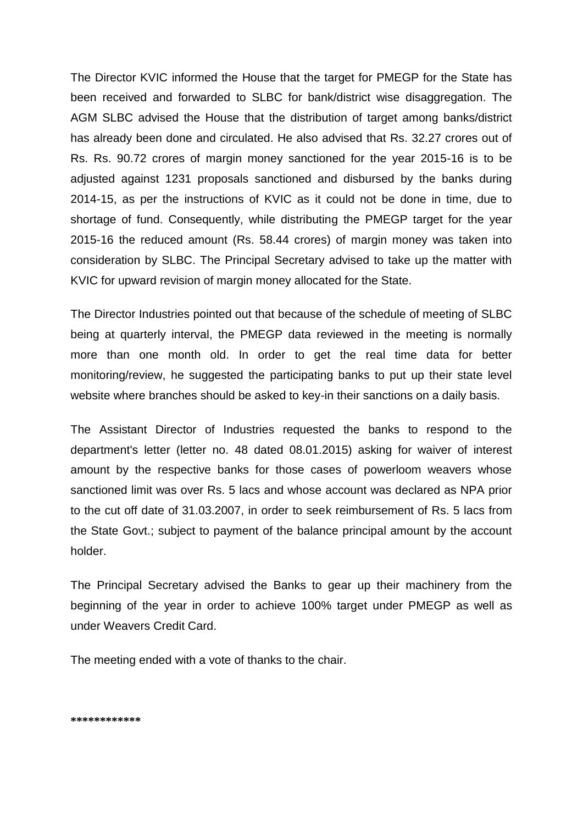The Director KVIC informed the House that the target for PMEGP for the State has been received and forwarded to SLBC for bank/district wise disaggregation. The AGM SLBC advised the House that the distribution of target among banks/district has already been done and circulated. He also advised that Rs. 32.27 crores out of Rs. Rs. 90.72 crores of margin money sanctioned for the year 2015-16 is to be adjusted against 1231 proposals sanctioned and disbursed by the banks during 2014-15, as per the instructions of KVIC as it could not be done in time, due to shortage of fund. Consequently, while distributing the PMEGP target for the year 2015-16 the reduced amount (Rs. 58.44 crores) of margin money was taken into consideration by SLBC. The Principal Secretary advised to take up the matter with KVIC for upward revision of margin money allocated for the State.

The Director Industries pointed out that because of the schedule of meeting of SLBC being at quarterly interval, the PMEGP data reviewed in the meeting is normally more than one month old. In order to get the real time data for better monitoring/review, he suggested the participating banks to put up their state level website where branches should be asked to key-in their sanctions on a daily basis.

The Assistant Director of Industries requested the banks to respond to the department's letter (letter no. 48 dated 08.01.2015) asking for waiver of interest amount by the respective banks for those cases of powerloom weavers whose sanctioned limit was over Rs. 5 lacs and whose account was declared as NPA prior to the cut off date of 31.03.2007, in order to seek reimbursement of Rs. 5 lacs from the State Govt.; subject to payment of the balance principal amount by the account holder.

The Principal Secretary advised the Banks to gear up their machinery from the beginning of the year in order to achieve 100% target under PMEGP as well as under Weavers Credit Card.

The meeting ended with a vote of thanks to the chair.

**\*\*\*\*\*\*\*\*\*\*\*\***